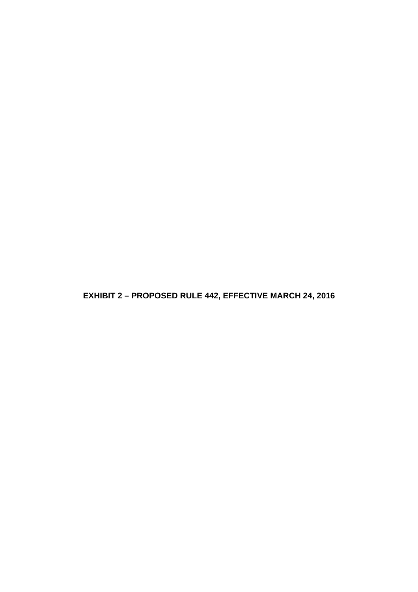**EXHIBIT 2 – PROPOSED RULE 442, EFFECTIVE MARCH 24, 2016**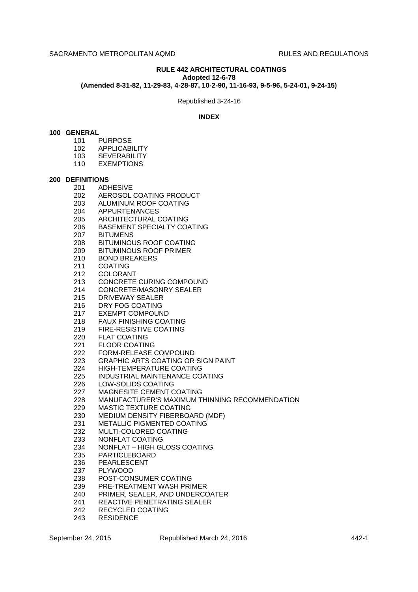### **RULE 442 ARCHITECTURAL COATINGS Adopted 12-6-78**

**(Amended 8-31-82, 11-29-83, 4-28-87, 10-2-90, 11-16-93, 9-5-96, 5-24-01, 9-24-15)**

Republished 3-24-16

## **INDEX**

### **100 GENERAL**

- 101 PURPOSE
- 102 APPLICABILITY
- 103 SEVERABILITY
- 110 EXEMPTIONS

### **200 DEFINITIONS**

- 
- 201 ADHESIVE<br>202 AEROSOL AEROSOL COATING PRODUCT
- 203 ALUMINUM ROOF COATING
- 204 APPURTENANCES
- 205 ARCHITECTURAL COATING
- 206 BASEMENT SPECIALTY COATING
- 207 BITUMENS
- 208 BITUMINOUS ROOF COATING
- 209 BITUMINOUS ROOF PRIMER
- 210 BOND BREAKERS
- 211 COATING
- 212 COLORANT
- 213 CONCRETE CURING COMPOUND
- 214 CONCRETE/MASONRY SEALER
- 215 DRIVEWAY SEALER
- 216 DRY FOG COATING
- 217 EXEMPT COMPOUND
- 218 FAUX FINISHING COATING
- 219 FIRE-RESISTIVE COATING
- 220 FLAT COATING
- 221 FLOOR COATING
- 222 FORM-RELEASE COMPOUND
- 223 GRAPHIC ARTS COATING OR SIGN PAINT
- 224 HIGH-TEMPERATURE COATING
- 225 INDUSTRIAL MAINTENANCE COATING
- 226 LOW-SOLIDS COATING
- 227 MAGNESITE CEMENT COATING
- 228 MANUFACTURER'S MAXIMUM THINNING RECOMMENDATION
- 229 MASTIC TEXTURE COATING
- 230 MEDIUM DENSITY FIBERBOARD (MDF)
- 231 METALLIC PIGMENTED COATING
- 232 MULTI-COLORED COATING
- 233 NONFLAT COATING
- 234 NONFLAT HIGH GLOSS COATING
- 235 PARTICLEBOARD
- 236 PEARLESCENT
- 237 PLYWOOD
- 238 POST-CONSUMER COATING
- 239 PRE-TREATMENT WASH PRIMER
- 240 PRIMER, SEALER, AND UNDERCOATER
- 241 REACTIVE PENETRATING SEALER
- 242 RECYCLED COATING
- 243 RESIDENCE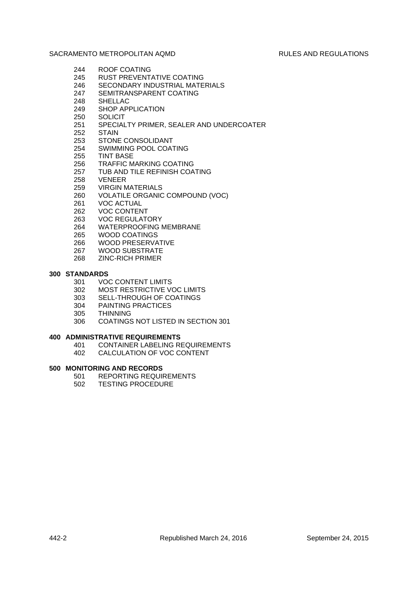- 244 ROOF COATING
- 245 RUST PREVENTATIVE COATING
- 246 SECONDARY INDUSTRIAL MATERIALS
- 247 SEMITRANSPARENT COATING
- 248 SHELLAC
- 249 SHOP APPLICATION
- 250 SOLICIT
- 251 SPECIALTY PRIMER, SEALER AND UNDERCOATER
- 252 STAIN
- 253 STONE CONSOLIDANT
- 254 SWIMMING POOL COATING
- 255 TINT BASE
- 256 TRAFFIC MARKING COATING
- 257 TUB AND TILE REFINISH COATING
- 258 VENEER
- 
- 259 VIRGIN MATERIALS<br>260 VOLATILE ORGANIC VOLATILE ORGANIC COMPOUND (VOC)
- 261 VOC ACTUAL
- 262 VOC CONTENT
- 263 VOC REGULATORY
- 264 WATERPROOFING MEMBRANE
- 265 WOOD COATINGS
- 266 WOOD PRESERVATIVE
- 267 WOOD SUBSTRATE
- 268 ZINC-RICH PRIMER

# **300 STANDARDS**

- 301 VOC CONTENT LIMITS
- 302 MOST RESTRICTIVE VOC LIMITS
- 303 SELL-THROUGH OF COATINGS
- 304 PAINTING PRACTICES
- 305 THINNING
- 306 COATINGS NOT LISTED IN SECTION 301

# **400 ADMINISTRATIVE REQUIREMENTS**

- 401 CONTAINER LABELING REQUIREMENTS
- 402 CALCULATION OF VOC CONTENT

# **500 MONITORING AND RECORDS**

- 501 REPORTING REQUIREMENTS<br>502 TESTING PROCEDURE
- **TESTING PROCEDURE**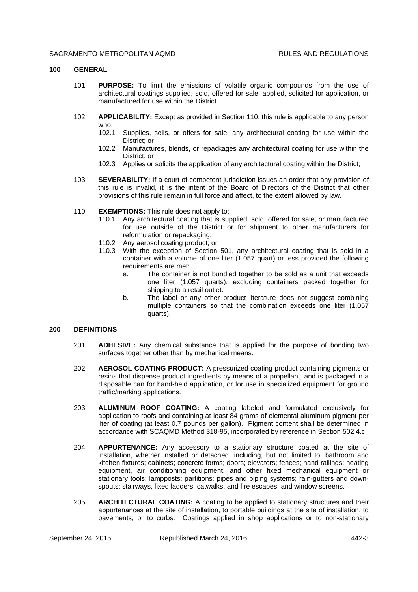### **100 GENERAL**

- 101 **PURPOSE:** To limit the emissions of volatile organic compounds from the use of architectural coatings supplied, sold, offered for sale, applied, solicited for application, or manufactured for use within the District.
- 102 **APPLICABILITY:** Except as provided in Section 110, this rule is applicable to any person who:
	- 102.1 Supplies, sells, or offers for sale, any architectural coating for use within the District; or
	- 102.2 Manufactures, blends, or repackages any architectural coating for use within the District; or
	- 102.3 Applies or solicits the application of any architectural coating within the District;
- 103 **SEVERABILITY:** If a court of competent jurisdiction issues an order that any provision of this rule is invalid, it is the intent of the Board of Directors of the District that other provisions of this rule remain in full force and affect, to the extent allowed by law.
- 110 **EXEMPTIONS:** This rule does not apply to:
	- 110.1 Any architectural coating that is supplied, sold, offered for sale, or manufactured for use outside of the District or for shipment to other manufacturers for reformulation or repackaging;
	- 110.2 Any aerosol coating product; or
	- 110.3 With the exception of Section 501, any architectural coating that is sold in a container with a volume of one liter (1.057 quart) or less provided the following requirements are met:
		- a. The container is not bundled together to be sold as a unit that exceeds one liter (1.057 quarts), excluding containers packed together for shipping to a retail outlet.
		- b. The label or any other product literature does not suggest combining multiple containers so that the combination exceeds one liter (1.057 quarts).

## **200 DEFINITIONS**

- 201 **ADHESIVE:** Any chemical substance that is applied for the purpose of bonding two surfaces together other than by mechanical means.
- 202 **AEROSOL COATING PRODUCT:** A pressurized coating product containing pigments or resins that dispense product ingredients by means of a propellant, and is packaged in a disposable can for hand-held application, or for use in specialized equipment for ground traffic/marking applications.
- 203 **ALUMINUM ROOF COATING:** A coating labeled and formulated exclusively for application to roofs and containing at least 84 grams of elemental aluminum pigment per liter of coating (at least 0.7 pounds per gallon). Pigment content shall be determined in accordance with SCAQMD Method 318-95, incorporated by reference in Section 502.4.c.
- 204 **APPURTENANCE:** Any accessory to a stationary structure coated at the site of installation, whether installed or detached, including, but not limited to: bathroom and kitchen fixtures; cabinets; concrete forms; doors; elevators; fences; hand railings; heating equipment, air conditioning equipment, and other fixed mechanical equipment or stationary tools; lampposts; partitions; pipes and piping systems; rain-gutters and downspouts; stairways, fixed ladders, catwalks, and fire escapes; and window screens.
- 205 **ARCHITECTURAL COATING:** A coating to be applied to stationary structures and their appurtenances at the site of installation, to portable buildings at the site of installation, to pavements, or to curbs. Coatings applied in shop applications or to non-stationary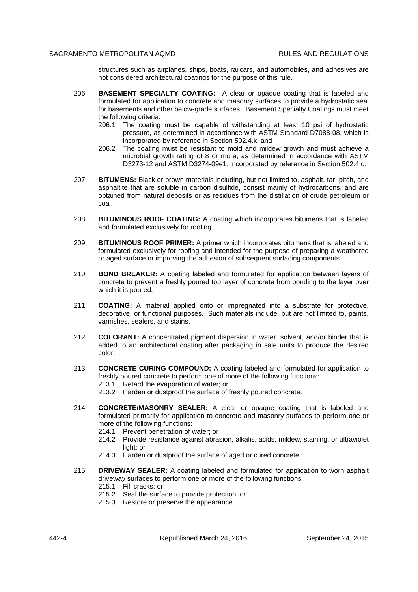structures such as airplanes, ships, boats, railcars, and automobiles, and adhesives are not considered architectural coatings for the purpose of this rule.

- 206 **BASEMENT SPECIALTY COATING:** A clear or opaque coating that is labeled and formulated for application to concrete and masonry surfaces to provide a hydrostatic seal for basements and other below-grade surfaces. Basement Specialty Coatings must meet the following criteria:
	- 206.1 The coating must be capable of withstanding at least 10 psi of hydrostatic pressure, as determined in accordance with ASTM Standard D7088-08, which is incorporated by reference in Section 502.4.k; and
	- 206.2 The coating must be resistant to mold and mildew growth and must achieve a microbial growth rating of 8 or more, as determined in accordance with ASTM D3273-12 and ASTM D3274-09e1, incorporated by reference in Section 502.4.q.
- 207 **BITUMENS:** Black or brown materials including, but not limited to, asphalt, tar, pitch, and asphaltite that are soluble in carbon disulfide, consist mainly of hydrocarbons, and are obtained from natural deposits or as residues from the distillation of crude petroleum or coal.
- 208 **BITUMINOUS ROOF COATING:** A coating which incorporates bitumens that is labeled and formulated exclusively for roofing.
- 209 **BITUMINOUS ROOF PRIMER:** A primer which incorporates bitumens that is labeled and formulated exclusively for roofing and intended for the purpose of preparing a weathered or aged surface or improving the adhesion of subsequent surfacing components.
- 210 **BOND BREAKER:** A coating labeled and formulated for application between layers of concrete to prevent a freshly poured top layer of concrete from bonding to the layer over which it is poured.
- 211 **COATING:** A material applied onto or impregnated into a substrate for protective, decorative, or functional purposes. Such materials include, but are not limited to, paints, varnishes, sealers, and stains.
- 212 **COLORANT:** A concentrated pigment dispersion in water, solvent, and/or binder that is added to an architectural coating after packaging in sale units to produce the desired color.
- 213 **CONCRETE CURING COMPOUND:** A coating labeled and formulated for application to freshly poured concrete to perform one of more of the following functions:
	- 213.1 Retard the evaporation of water; or
	- 213.2 Harden or dustproof the surface of freshly poured concrete.
- 214 **CONCRETE/MASONRY SEALER:** A clear or opaque coating that is labeled and formulated primarily for application to concrete and masonry surfaces to perform one or more of the following functions:
	- 214.1 Prevent penetration of water; or
	- 214.2 Provide resistance against abrasion, alkalis, acids, mildew, staining, or ultraviolet light; or
	- 214.3 Harden or dustproof the surface of aged or cured concrete.
- 215 **DRIVEWAY SEALER:** A coating labeled and formulated for application to worn asphalt driveway surfaces to perform one or more of the following functions:
	- 215.1 Fill cracks; or
	- 215.2 Seal the surface to provide protection; or
	- 215.3 Restore or preserve the appearance.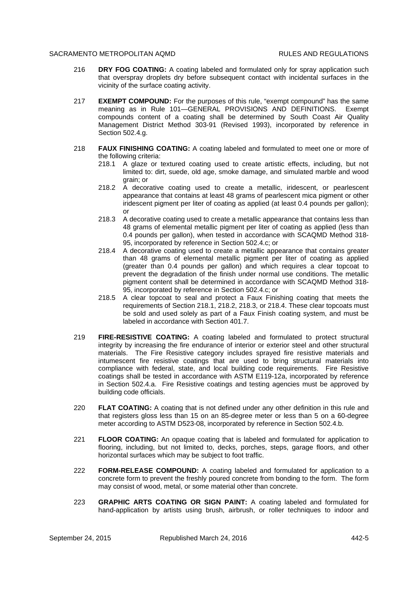- 216 **DRY FOG COATING:** A coating labeled and formulated only for spray application such that overspray droplets dry before subsequent contact with incidental surfaces in the vicinity of the surface coating activity.
- 217 **EXEMPT COMPOUND:** For the purposes of this rule, "exempt compound" has the same meaning as in Rule 101—GENERAL PROVISIONS AND DEFINITIONS. Exempt compounds content of a coating shall be determined by South Coast Air Quality Management District Method 303-91 (Revised 1993), incorporated by reference in Section 502.4.g.
- 218 **FAUX FINISHING COATING:** A coating labeled and formulated to meet one or more of the following criteria:
	- 218.1 A glaze or textured coating used to create artistic effects, including, but not limited to: dirt, suede, old age, smoke damage, and simulated marble and wood grain; or
	- 218.2 A decorative coating used to create a metallic, iridescent, or pearlescent appearance that contains at least 48 grams of pearlescent mica pigment or other iridescent pigment per liter of coating as applied (at least 0.4 pounds per gallon); or
	- 218.3 A decorative coating used to create a metallic appearance that contains less than 48 grams of elemental metallic pigment per liter of coating as applied (less than 0.4 pounds per gallon), when tested in accordance with SCAQMD Method 318- 95, incorporated by reference in Section 502.4.c; or
	- 218.4 A decorative coating used to create a metallic appearance that contains greater than 48 grams of elemental metallic pigment per liter of coating as applied (greater than 0.4 pounds per gallon) and which requires a clear topcoat to prevent the degradation of the finish under normal use conditions. The metallic pigment content shall be determined in accordance with SCAQMD Method 318- 95, incorporated by reference in Section 502.4.c; or
	- 218.5 A clear topcoat to seal and protect a Faux Finishing coating that meets the requirements of Section 218.1, 218.2, 218.3, or 218.4. These clear topcoats must be sold and used solely as part of a Faux Finish coating system, and must be labeled in accordance with Section 401.7.
- 219 **FIRE-RESISTIVE COATING:** A coating labeled and formulated to protect structural integrity by increasing the fire endurance of interior or exterior steel and other structural materials. The Fire Resistive category includes sprayed fire resistive materials and intumescent fire resistive coatings that are used to bring structural materials into compliance with federal, state, and local building code requirements. Fire Resistive coatings shall be tested in accordance with ASTM E119-12a, incorporated by reference in Section 502.4.a. Fire Resistive coatings and testing agencies must be approved by building code officials.
- 220 **FLAT COATING:** A coating that is not defined under any other definition in this rule and that registers gloss less than 15 on an 85-degree meter or less than 5 on a 60-degree meter according to ASTM D523-08, incorporated by reference in Section 502.4.b.
- 221 **FLOOR COATING:** An opaque coating that is labeled and formulated for application to flooring, including, but not limited to, decks, porches, steps, garage floors, and other horizontal surfaces which may be subject to foot traffic.
- 222 **FORM-RELEASE COMPOUND:** A coating labeled and formulated for application to a concrete form to prevent the freshly poured concrete from bonding to the form. The form may consist of wood, metal, or some material other than concrete.
- 223 **GRAPHIC ARTS COATING OR SIGN PAINT:** A coating labeled and formulated for hand-application by artists using brush, airbrush, or roller techniques to indoor and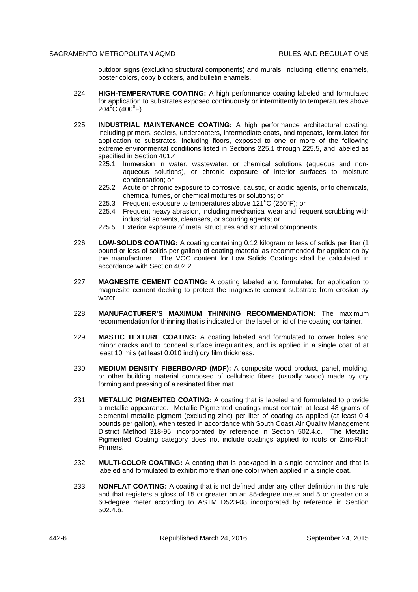outdoor signs (excluding structural components) and murals, including lettering enamels, poster colors, copy blockers, and bulletin enamels.

- 224 **HIGH-TEMPERATURE COATING:** A high performance coating labeled and formulated for application to substrates exposed continuously or intermittently to temperatures above 204°C (400°F).
- 225 **INDUSTRIAL MAINTENANCE COATING:** A high performance architectural coating, including primers, sealers, undercoaters, intermediate coats, and topcoats, formulated for application to substrates, including floors, exposed to one or more of the following extreme environmental conditions listed in Sections 225.1 through 225.5, and labeled as specified in Section 401.4:
	- 225.1 Immersion in water, wastewater, or chemical solutions (aqueous and nonaqueous solutions), or chronic exposure of interior surfaces to moisture condensation; or
	- 225.2 Acute or chronic exposure to corrosive, caustic, or acidic agents, or to chemicals, chemical fumes, or chemical mixtures or solutions; or
	- 225.3 Frequent exposure to temperatures above 121 $\rm{^oC}$  (250 $\rm{^oF}$ ); or
	- 225.4 Frequent heavy abrasion, including mechanical wear and frequent scrubbing with industrial solvents, cleansers, or scouring agents; or
	- 225.5 Exterior exposure of metal structures and structural components.
- 226 **LOW-SOLIDS COATING:** A coating containing 0.12 kilogram or less of solids per liter (1 pound or less of solids per gallon) of coating material as recommended for application by the manufacturer. The VOC content for Low Solids Coatings shall be calculated in accordance with Section 402.2.
- 227 **MAGNESITE CEMENT COATING:** A coating labeled and formulated for application to magnesite cement decking to protect the magnesite cement substrate from erosion by water.
- 228 **MANUFACTURER'S MAXIMUM THINNING RECOMMENDATION:** The maximum recommendation for thinning that is indicated on the label or lid of the coating container.
- 229 **MASTIC TEXTURE COATING:** A coating labeled and formulated to cover holes and minor cracks and to conceal surface irregularities, and is applied in a single coat of at least 10 mils (at least 0.010 inch) dry film thickness.
- 230 **MEDIUM DENSITY FIBERBOARD (MDF):** A composite wood product, panel, molding, or other building material composed of cellulosic fibers (usually wood) made by dry forming and pressing of a resinated fiber mat.
- 231 **METALLIC PIGMENTED COATING:** A coating that is labeled and formulated to provide a metallic appearance. Metallic Pigmented coatings must contain at least 48 grams of elemental metallic pigment (excluding zinc) per liter of coating as applied (at least 0.4 pounds per gallon), when tested in accordance with South Coast Air Quality Management District Method 318-95, incorporated by reference in Section 502.4.c. The Metallic Pigmented Coating category does not include coatings applied to roofs or Zinc-Rich Primers.
- 232 **MULTI-COLOR COATING:** A coating that is packaged in a single container and that is labeled and formulated to exhibit more than one color when applied in a single coat.
- 233 **NONFLAT COATING:** A coating that is not defined under any other definition in this rule and that registers a gloss of 15 or greater on an 85-degree meter and 5 or greater on a 60-degree meter according to ASTM D523-08 incorporated by reference in Section 502.4.b.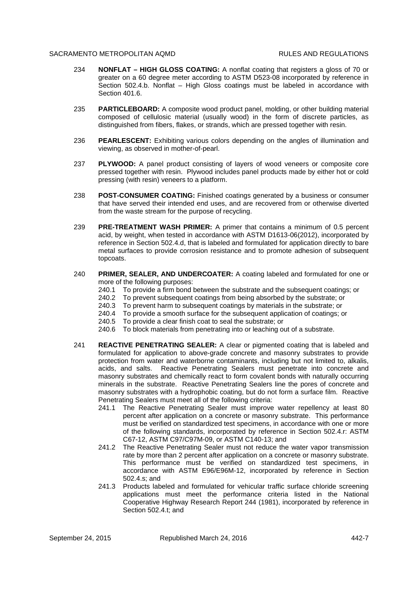- 234 **NONFLAT HIGH GLOSS COATING:** A nonflat coating that registers a gloss of 70 or greater on a 60 degree meter according to ASTM D523-08 incorporated by reference in Section 502.4.b. Nonflat – High Gloss coatings must be labeled in accordance with Section 401.6.
- 235 **PARTICLEBOARD:** A composite wood product panel, molding, or other building material composed of cellulosic material (usually wood) in the form of discrete particles, as distinguished from fibers, flakes, or strands, which are pressed together with resin.
- 236 **PEARLESCENT:** Exhibiting various colors depending on the angles of illumination and viewing, as observed in mother-of-pearl.
- 237 **PLYWOOD:** A panel product consisting of layers of wood veneers or composite core pressed together with resin. Plywood includes panel products made by either hot or cold pressing (with resin) veneers to a platform.
- 238 **POST-CONSUMER COATING:** Finished coatings generated by a business or consumer that have served their intended end uses, and are recovered from or otherwise diverted from the waste stream for the purpose of recycling.
- 239 **PRE-TREATMENT WASH PRIMER:** A primer that contains a minimum of 0.5 percent acid, by weight, when tested in accordance with ASTM D1613-06(2012), incorporated by reference in Section 502.4.d, that is labeled and formulated for application directly to bare metal surfaces to provide corrosion resistance and to promote adhesion of subsequent topcoats.
- 240 **PRIMER, SEALER, AND UNDERCOATER:** A coating labeled and formulated for one or more of the following purposes:
	- 240.1 To provide a firm bond between the substrate and the subsequent coatings; or
	- 240.2 To prevent subsequent coatings from being absorbed by the substrate; or
	- 240.3 To prevent harm to subsequent coatings by materials in the substrate; or
	- 240.4 To provide a smooth surface for the subsequent application of coatings; or
	- 240.5 To provide a clear finish coat to seal the substrate; or
	- 240.6 To block materials from penetrating into or leaching out of a substrate.
- 241 **REACTIVE PENETRATING SEALER:** A clear or pigmented coating that is labeled and formulated for application to above-grade concrete and masonry substrates to provide protection from water and waterborne contaminants, including but not limited to, alkalis, acids, and salts. Reactive Penetrating Sealers must penetrate into concrete and masonry substrates and chemically react to form covalent bonds with naturally occurring minerals in the substrate. Reactive Penetrating Sealers line the pores of concrete and masonry substrates with a hydrophobic coating, but do not form a surface film. Reactive Penetrating Sealers must meet all of the following criteria:
	- 241.1 The Reactive Penetrating Sealer must improve water repellency at least 80 percent after application on a concrete or masonry substrate. This performance must be verified on standardized test specimens, in accordance with one or more of the following standards, incorporated by reference in Section 502.4.r: ASTM C67-12, ASTM C97/C97M-09, or ASTM C140-13; and
	- 241.2 The Reactive Penetrating Sealer must not reduce the water vapor transmission rate by more than 2 percent after application on a concrete or masonry substrate. This performance must be verified on standardized test specimens, in accordance with ASTM E96/E96M-12, incorporated by reference in Section 502.4.s; and
	- 241.3 Products labeled and formulated for vehicular traffic surface chloride screening applications must meet the performance criteria listed in the National Cooperative Highway Research Report 244 (1981), incorporated by reference in Section 502.4.t; and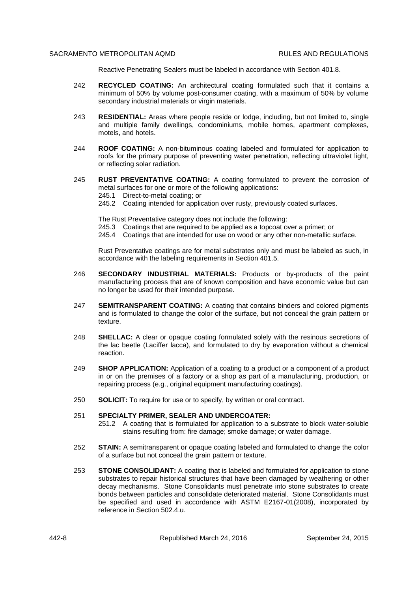Reactive Penetrating Sealers must be labeled in accordance with Section 401.8.

- 242 **RECYCLED COATING:** An architectural coating formulated such that it contains a minimum of 50% by volume post-consumer coating, with a maximum of 50% by volume secondary industrial materials or virgin materials.
- 243 **RESIDENTIAL:** Areas where people reside or lodge, including, but not limited to, single and multiple family dwellings, condominiums, mobile homes, apartment complexes, motels, and hotels.
- 244 **ROOF COATING:** A non-bituminous coating labeled and formulated for application to roofs for the primary purpose of preventing water penetration, reflecting ultraviolet light, or reflecting solar radiation.
- 245 **RUST PREVENTATIVE COATING:** A coating formulated to prevent the corrosion of metal surfaces for one or more of the following applications:
	- 245.1 Direct-to-metal coating; or
	- 245.2 Coating intended for application over rusty, previously coated surfaces.

The Rust Preventative category does not include the following:

- 245.3 Coatings that are required to be applied as a topcoat over a primer; or
- 245.4 Coatings that are intended for use on wood or any other non-metallic surface.

Rust Preventative coatings are for metal substrates only and must be labeled as such, in accordance with the labeling requirements in Section 401.5.

- 246 **SECONDARY INDUSTRIAL MATERIALS:** Products or by-products of the paint manufacturing process that are of known composition and have economic value but can no longer be used for their intended purpose.
- 247 **SEMITRANSPARENT COATING:** A coating that contains binders and colored pigments and is formulated to change the color of the surface, but not conceal the grain pattern or texture.
- 248 **SHELLAC:** A clear or opaque coating formulated solely with the resinous secretions of the lac beetle (Laciffer lacca), and formulated to dry by evaporation without a chemical reaction.
- 249 **SHOP APPLICATION:** Application of a coating to a product or a component of a product in or on the premises of a factory or a shop as part of a manufacturing, production, or repairing process (e.g., original equipment manufacturing coatings).
- 250 **SOLICIT:** To require for use or to specify, by written or oral contract.

## 251 **SPECIALTY PRIMER, SEALER AND UNDERCOATER:**

- 251.2 A coating that is formulated for application to a substrate to block water-soluble stains resulting from: fire damage; smoke damage; or water damage.
- 252 **STAIN:** A semitransparent or opaque coating labeled and formulated to change the color of a surface but not conceal the grain pattern or texture.
- 253 **STONE CONSOLIDANT:** A coating that is labeled and formulated for application to stone substrates to repair historical structures that have been damaged by weathering or other decay mechanisms. Stone Consolidants must penetrate into stone substrates to create bonds between particles and consolidate deteriorated material. Stone Consolidants must be specified and used in accordance with ASTM E2167-01(2008), incorporated by reference in Section 502.4.u.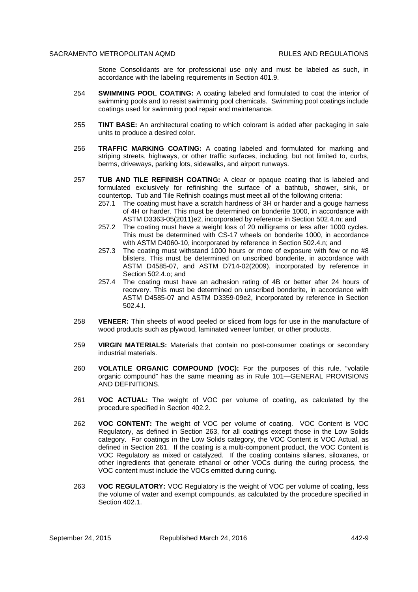Stone Consolidants are for professional use only and must be labeled as such, in accordance with the labeling requirements in Section 401.9.

- 254 **SWIMMING POOL COATING:** A coating labeled and formulated to coat the interior of swimming pools and to resist swimming pool chemicals. Swimming pool coatings include coatings used for swimming pool repair and maintenance.
- 255 **TINT BASE:** An architectural coating to which colorant is added after packaging in sale units to produce a desired color.
- 256 **TRAFFIC MARKING COATING:** A coating labeled and formulated for marking and striping streets, highways, or other traffic surfaces, including, but not limited to, curbs, berms, driveways, parking lots, sidewalks, and airport runways.
- 257 **TUB AND TILE REFINISH COATING:** A clear or opaque coating that is labeled and formulated exclusively for refinishing the surface of a bathtub, shower, sink, or countertop. Tub and Tile Refinish coatings must meet all of the following criteria:
	- 257.1 The coating must have a scratch hardness of 3H or harder and a gouge harness of 4H or harder. This must be determined on bonderite 1000, in accordance with ASTM D3363-05(2011)e2, incorporated by reference in Section 502.4.m; and
	- 257.2 The coating must have a weight loss of 20 milligrams or less after 1000 cycles. This must be determined with CS-17 wheels on bonderite 1000, in accordance with ASTM D4060-10, incorporated by reference in Section 502.4.n; and
	- 257.3 The coating must withstand 1000 hours or more of exposure with few or no #8 blisters. This must be determined on unscribed bonderite, in accordance with ASTM D4585-07, and ASTM D714-02(2009), incorporated by reference in Section 502.4.o; and
	- 257.4 The coating must have an adhesion rating of 4B or better after 24 hours of recovery. This must be determined on unscribed bonderite, in accordance with ASTM D4585-07 and ASTM D3359-09e2, incorporated by reference in Section 502.4.l.
- 258 **VENEER:** Thin sheets of wood peeled or sliced from logs for use in the manufacture of wood products such as plywood, laminated veneer lumber, or other products.
- 259 **VIRGIN MATERIALS:** Materials that contain no post-consumer coatings or secondary industrial materials.
- 260 **VOLATILE ORGANIC COMPOUND (VOC):** For the purposes of this rule, "volatile organic compound" has the same meaning as in Rule 101—GENERAL PROVISIONS AND DEFINITIONS.
- 261 **VOC ACTUAL:** The weight of VOC per volume of coating, as calculated by the procedure specified in Section 402.2.
- 262 **VOC CONTENT:** The weight of VOC per volume of coating. VOC Content is VOC Regulatory, as defined in Section 263, for all coatings except those in the Low Solids category. For coatings in the Low Solids category, the VOC Content is VOC Actual, as defined in Section 261. If the coating is a multi-component product, the VOC Content is VOC Regulatory as mixed or catalyzed. If the coating contains silanes, siloxanes, or other ingredients that generate ethanol or other VOCs during the curing process, the VOC content must include the VOCs emitted during curing.
- 263 **VOC REGULATORY:** VOC Regulatory is the weight of VOC per volume of coating, less the volume of water and exempt compounds, as calculated by the procedure specified in Section 402.1.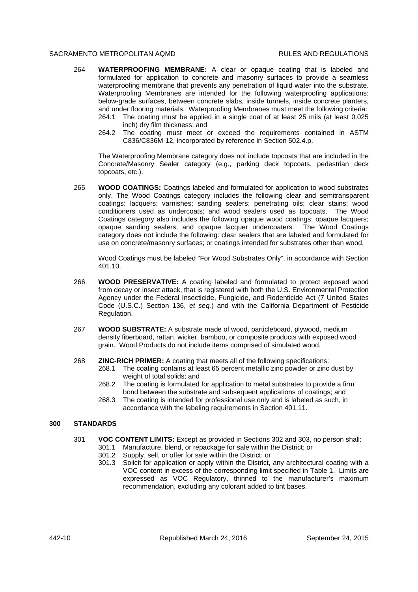- 264 **WATERPROOFING MEMBRANE:** A clear or opaque coating that is labeled and formulated for application to concrete and masonry surfaces to provide a seamless waterproofing membrane that prevents any penetration of liquid water into the substrate. Waterproofing Membranes are intended for the following waterproofing applications: below-grade surfaces, between concrete slabs, inside tunnels, inside concrete planters, and under flooring materials. Waterproofing Membranes must meet the following criteria:
	- 264.1 The coating must be applied in a single coat of at least 25 mils (at least 0.025 inch) dry film thickness; and
	- 264.2 The coating must meet or exceed the requirements contained in ASTM C836/C836M-12, incorporated by reference in Section 502.4.p.

The Waterproofing Membrane category does not include topcoats that are included in the Concrete/Masonry Sealer category (e.g., parking deck topcoats, pedestrian deck topcoats, etc.).

265 **WOOD COATINGS:** Coatings labeled and formulated for application to wood substrates only. The Wood Coatings category includes the following clear and semitransparent coatings: lacquers; varnishes; sanding sealers; penetrating oils; clear stains; wood conditioners used as undercoats; and wood sealers used as topcoats. The Wood Coatings category also includes the following opaque wood coatings: opaque lacquers; opaque sanding sealers; and opaque lacquer undercoaters. The Wood Coatings category does not include the following: clear sealers that are labeled and formulated for use on concrete/masonry surfaces; or coatings intended for substrates other than wood.

Wood Coatings must be labeled "For Wood Substrates Only", in accordance with Section 401.10.

- 266 **WOOD PRESERVATIVE:** A coating labeled and formulated to protect exposed wood from decay or insect attack, that is registered with both the U.S. Environmental Protection Agency under the Federal Insecticide, Fungicide, and Rodenticide Act (7 United States Code (U.S.C.) Section 136, *et seq.*) and with the California Department of Pesticide Regulation.
- 267 **WOOD SUBSTRATE:** A substrate made of wood, particleboard, plywood, medium density fiberboard, rattan, wicker, bamboo, or composite products with exposed wood grain. Wood Products do not include items comprised of simulated wood.
- 268 **ZINC-RICH PRIMER:** A coating that meets all of the following specifications:
	- 268.1 The coating contains at least 65 percent metallic zinc powder or zinc dust by weight of total solids; and
	- 268.2 The coating is formulated for application to metal substrates to provide a firm bond between the substrate and subsequent applications of coatings; and
	- 268.3 The coating is intended for professional use only and is labeled as such, in accordance with the labeling requirements in Section 401.11.

### **300 STANDARDS**

- 301 **VOC CONTENT LIMITS:** Except as provided in Sections 302 and 303, no person shall:
	- 301.1 Manufacture, blend, or repackage for sale within the District; or
	- 301.2 Supply, sell, or offer for sale within the District; or
	- 301.3 Solicit for application or apply within the District, any architectural coating with a VOC content in excess of the corresponding limit specified in Table 1. Limits are expressed as VOC Regulatory, thinned to the manufacturer's maximum recommendation, excluding any colorant added to tint bases.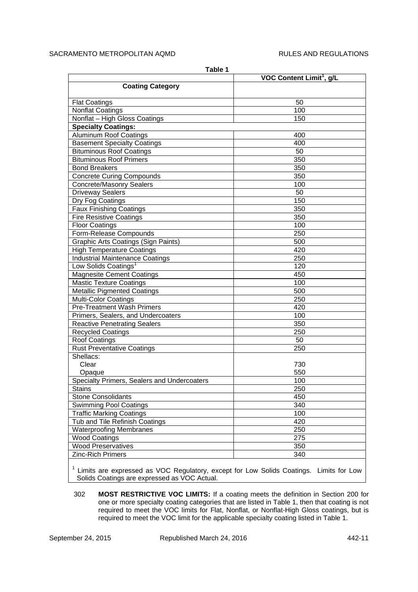| Table 1                                     |                                      |  |  |
|---------------------------------------------|--------------------------------------|--|--|
|                                             | VOC Content Limit <sup>1</sup> , g/L |  |  |
| <b>Coating Category</b>                     |                                      |  |  |
| <b>Flat Coatings</b>                        | 50                                   |  |  |
| <b>Nonflat Coatings</b>                     | 100                                  |  |  |
| Nonflat - High Gloss Coatings               | 150                                  |  |  |
| <b>Specialty Coatings:</b>                  |                                      |  |  |
| <b>Aluminum Roof Coatings</b>               | 400                                  |  |  |
| <b>Basement Specialty Coatings</b>          | 400                                  |  |  |
| <b>Bituminous Roof Coatings</b>             | 50                                   |  |  |
| <b>Bituminous Roof Primers</b>              | 350                                  |  |  |
| <b>Bond Breakers</b>                        | 350                                  |  |  |
| <b>Concrete Curing Compounds</b>            | 350                                  |  |  |
| Concrete/Masonry Sealers                    | 100                                  |  |  |
| <b>Driveway Sealers</b>                     | 50                                   |  |  |
| Dry Fog Coatings                            | 150                                  |  |  |
| <b>Faux Finishing Coatings</b>              | 350                                  |  |  |
| <b>Fire Resistive Coatings</b>              | 350                                  |  |  |
| <b>Floor Coatings</b>                       | 100                                  |  |  |
| Form-Release Compounds                      | 250                                  |  |  |
| <b>Graphic Arts Coatings (Sign Paints)</b>  | 500                                  |  |  |
| <b>High Temperature Coatings</b>            | 420                                  |  |  |
| <b>Industrial Maintenance Coatings</b>      | 250                                  |  |  |
| Low Solids Coatings <sup>1</sup>            | 120                                  |  |  |
| <b>Magnesite Cement Coatings</b>            | 450                                  |  |  |
| <b>Mastic Texture Coatings</b>              | 100                                  |  |  |
| <b>Metallic Pigmented Coatings</b>          | 500                                  |  |  |
| <b>Multi-Color Coatings</b>                 | 250                                  |  |  |
| <b>Pre-Treatment Wash Primers</b>           | 420                                  |  |  |
| Primers, Sealers, and Undercoaters          | 100                                  |  |  |
| <b>Reactive Penetrating Sealers</b>         | 350                                  |  |  |
| <b>Recycled Coatings</b>                    | 250                                  |  |  |
| Roof Coatings                               | 50                                   |  |  |
| <b>Rust Preventative Coatings</b>           | 250                                  |  |  |
| Shellacs:                                   |                                      |  |  |
| Clear                                       | 730                                  |  |  |
| Opaque                                      | 550                                  |  |  |
| Specialty Primers, Sealers and Undercoaters | 100                                  |  |  |
| <b>Stains</b>                               | 250                                  |  |  |
| <b>Stone Consolidants</b>                   | 450                                  |  |  |
| <b>Swimming Pool Coatings</b>               | 340                                  |  |  |
| <b>Traffic Marking Coatings</b>             | 100                                  |  |  |
| Tub and Tile Refinish Coatings              | 420                                  |  |  |
| <b>Waterproofing Membranes</b>              | 250                                  |  |  |
| <b>Wood Coatings</b>                        | 275                                  |  |  |
| <b>Wood Preservatives</b>                   | 350                                  |  |  |
| <b>Zinc-Rich Primers</b>                    | 340                                  |  |  |

<sup>1</sup> Limits are expressed as VOC Regulatory, except for Low Solids Coatings. Limits for Low  $\vert$ Solids Coatings are expressed as VOC Actual.

302 **MOST RESTRICTIVE VOC LIMITS:** If a coating meets the definition in Section 200 for one or more specialty coating categories that are listed in Table 1, then that coating is not required to meet the VOC limits for Flat, Nonflat, or Nonflat-High Gloss coatings, but is required to meet the VOC limit for the applicable specialty coating listed in Table 1.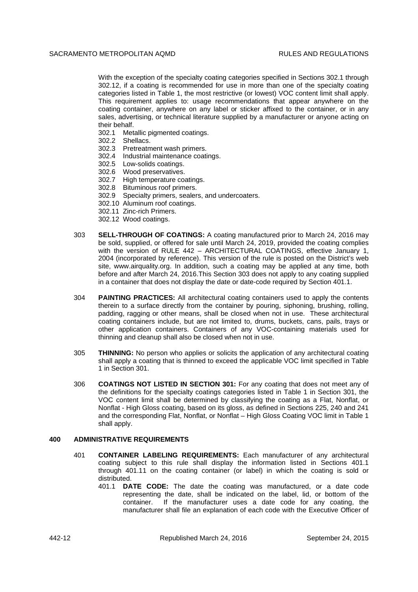With the exception of the specialty coating categories specified in Sections 302.1 through 302.12, if a coating is recommended for use in more than one of the specialty coating categories listed in Table 1, the most restrictive (or lowest) VOC content limit shall apply. This requirement applies to: usage recommendations that appear anywhere on the coating container, anywhere on any label or sticker affixed to the container, or in any sales, advertising, or technical literature supplied by a manufacturer or anyone acting on their behalf.

- 302.1 Metallic pigmented coatings.
- 302.2 Shellacs.
- 302.3 Pretreatment wash primers.
- 302.4 Industrial maintenance coatings.
- 302.5 Low-solids coatings.
- 302.6 Wood preservatives.
- 302.7 High temperature coatings.
- 302.8 Bituminous roof primers.
- 302.9 Specialty primers, sealers, and undercoaters.
- 302.10 Aluminum roof coatings.
- 302.11 Zinc-rich Primers.
- 302.12 Wood coatings.
- 303 **SELL-THROUGH OF COATINGS:** A coating manufactured prior to March 24, 2016 may be sold, supplied, or offered for sale until March 24, 2019, provided the coating complies with the version of RULE 442 – ARCHITECTURAL COATINGS, effective January 1, 2004 (incorporated by reference). This version of the rule is posted on the District's web site, www.airquality.org. In addition, such a coating may be applied at any time, both before and after March 24, 2016.This Section 303 does not apply to any coating supplied in a container that does not display the date or date-code required by Section 401.1.
- 304 **PAINTING PRACTICES:** All architectural coating containers used to apply the contents therein to a surface directly from the container by pouring, siphoning, brushing, rolling, padding, ragging or other means, shall be closed when not in use. These architectural coating containers include, but are not limited to, drums, buckets, cans, pails, trays or other application containers. Containers of any VOC-containing materials used for thinning and cleanup shall also be closed when not in use.
- 305 **THINNING:** No person who applies or solicits the application of any architectural coating shall apply a coating that is thinned to exceed the applicable VOC limit specified in Table 1 in Section 301.
- 306 **COATINGS NOT LISTED IN SECTION 301:** For any coating that does not meet any of the definitions for the specialty coatings categories listed in Table 1 in Section 301, the VOC content limit shall be determined by classifying the coating as a Flat, Nonflat, or Nonflat - High Gloss coating, based on its gloss, as defined in Sections 225, 240 and 241 and the corresponding Flat, Nonflat, or Nonflat – High Gloss Coating VOC limit in Table 1 shall apply.

### **400 ADMINISTRATIVE REQUIREMENTS**

- 401 **CONTAINER LABELING REQUIREMENTS:** Each manufacturer of any architectural coating subject to this rule shall display the information listed in Sections 401.1 through 401.11 on the coating container (or label) in which the coating is sold or distributed.
	- 401.1 **DATE CODE:** The date the coating was manufactured, or a date code representing the date, shall be indicated on the label, lid, or bottom of the container. If the manufacturer uses a date code for any coating, the manufacturer shall file an explanation of each code with the Executive Officer of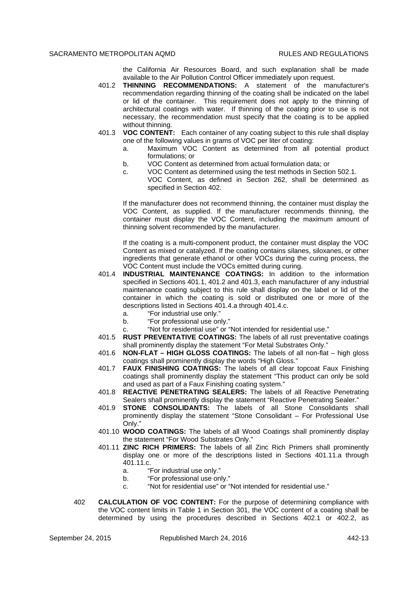the California Air Resources Board, and such explanation shall be made available to the Air Pollution Control Officer immediately upon request.

- 401.2 **THINNING RECOMMENDATIONS:** A statement of the manufacturer's recommendation regarding thinning of the coating shall be indicated on the label or lid of the container. This requirement does not apply to the thinning of architectural coatings with water. If thinning of the coating prior to use is not necessary, the recommendation must specify that the coating is to be applied without thinning.
- 401.3 **VOC CONTENT:** Each container of any coating subject to this rule shall display one of the following values in grams of VOC per liter of coating:
	- a. Maximum VOC Content as determined from all potential product formulations; or
	- b. VOC Content as determined from actual formulation data; or
	- c. VOC Content as determined using the test methods in Section 502.1.
		- VOC Content, as defined in Section 262, shall be determined as specified in Section 402.

If the manufacturer does not recommend thinning, the container must display the VOC Content, as supplied. If the manufacturer recommends thinning, the container must display the VOC Content, including the maximum amount of thinning solvent recommended by the manufacturer.

If the coating is a multi-component product, the container must display the VOC Content as mixed or catalyzed. If the coating contains silanes, siloxanes, or other ingredients that generate ethanol or other VOCs during the curing process, the VOC Content must include the VOCs emitted during curing.

- 401.4 **INDUSTRIAL MAINTENANCE COATINGS:** In addition to the information specified in Sections 401.1, 401.2 and 401.3, each manufacturer of any industrial maintenance coating subject to this rule shall display on the label or lid of the container in which the coating is sold or distributed one or more of the descriptions listed in Sections 401.4.a through 401.4.c.
	- a. "For industrial use only."
	- b. "For professional use only."
	- c. "Not for residential use" or "Not intended for residential use."
- 401.5 **RUST PREVENTATIVE COATINGS:** The labels of all rust preventative coatings shall prominently display the statement "For Metal Substrates Only."
- 401.6 **NON-FLAT HIGH GLOSS COATINGS:** The labels of all non-flat high gloss coatings shall prominently display the words "High Gloss."
- 401.7 **FAUX FINISHING COATINGS:** The labels of all clear topcoat Faux Finishing coatings shall prominently display the statement "This product can only be sold and used as part of a Faux Finishing coating system."
- 401.8 **REACTIVE PENETRATING SEALERS:** The labels of all Reactive Penetrating Sealers shall prominently display the statement "Reactive Penetrating Sealer."
- 401.9 **STONE CONSOLIDANTS:** The labels of all Stone Consolidants shall prominently display the statement "Stone Consolidant – For Professional Use Only."
- 401.10 **WOOD COATINGS:** The labels of all Wood Coatings shall prominently display the statement "For Wood Substrates Only."
- 401.11 **ZINC RICH PRIMERS:** The labels of all Zinc Rich Primers shall prominently display one or more of the descriptions listed in Sections 401.11.a through 401.11.c.
	- a. "For industrial use only."
	- b. "For professional use only."
	- c. "Not for residential use" or "Not intended for residential use."
- 402 **CALCULATION OF VOC CONTENT:** For the purpose of determining compliance with the VOC content limits in Table 1 in Section 301, the VOC content of a coating shall be determined by using the procedures described in Sections 402.1 or 402.2, as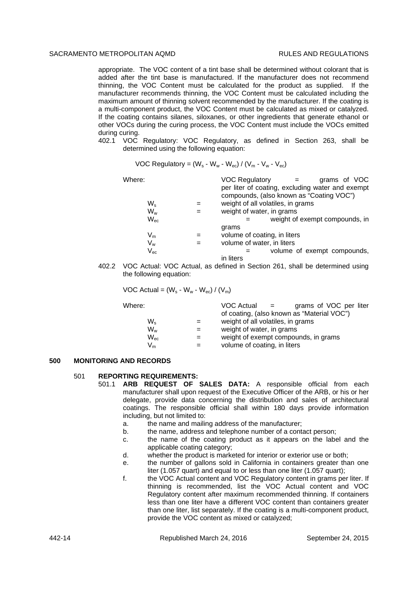appropriate. The VOC content of a tint base shall be determined without colorant that is added after the tint base is manufactured. If the manufacturer does not recommend thinning, the VOC Content must be calculated for the product as supplied. If the manufacturer recommends thinning, the VOC Content must be calculated including the maximum amount of thinning solvent recommended by the manufacturer. If the coating is a multi-component product, the VOC Content must be calculated as mixed or catalyzed. If the coating contains silanes, siloxanes, or other ingredients that generate ethanol or other VOCs during the curing process, the VOC Content must include the VOCs emitted during curing.

402.1 VOC Regulatory: VOC Regulatory, as defined in Section 263, shall be determined using the following equation:

VOC Regularory = 
$$
(W_s - W_w - W_{ec}) / (V_m - V_w - V_{ec})
$$

| Where:                     | <b>VOC Regulatory</b><br>grams of VOC            |  |
|----------------------------|--------------------------------------------------|--|
|                            | per liter of coating, excluding water and exempt |  |
|                            | compounds, (also known as "Coating VOC")         |  |
| W,                         | weight of all volatiles, in grams                |  |
| Ww                         | weight of water, in grams                        |  |
| $\mathsf{W}_{\mathsf{ec}}$ | weight of exempt compounds, in                   |  |
|                            | grams                                            |  |
| $\mathsf{V}_{\mathsf{m}}$  | volume of coating, in liters                     |  |
| $\mathsf{V}_{\mathsf{w}}$  | volume of water, in liters                       |  |
| $\mathsf{V}_{\mathsf{ec}}$ | volume of exempt compounds,                      |  |
|                            | in liters                                        |  |

402.2 VOC Actual: VOC Actual, as defined in Section 261, shall be determined using the following equation:

VOC Actual =  $(W_s - W_w - W_{ec}) / (V_m)$ 

| Where:                    | $VOC$ Actual $=$<br>grams of VOC per liter |
|---------------------------|--------------------------------------------|
|                           | of coating, (also known as "Material VOC") |
| W.                        | weight of all volatiles, in grams          |
| $W_w$                     | weight of water, in grams                  |
| $W_{\text{ec}}$           | weight of exempt compounds, in grams       |
| $\mathsf{V}_{\mathsf{m}}$ | volume of coating, in liters               |
|                           |                                            |

## **500 MONITORING AND RECORDS**

### 501 **REPORTING REQUIREMENTS:**

- 501.1 **ARB REQUEST OF SALES DATA:** A responsible official from each manufacturer shall upon request of the Executive Officer of the ARB, or his or her delegate, provide data concerning the distribution and sales of architectural coatings. The responsible official shall within 180 days provide information including, but not limited to:
	- a. the name and mailing address of the manufacturer;
	- b. the name, address and telephone number of a contact person;
	- c. the name of the coating product as it appears on the label and the applicable coating category;
	- d. whether the product is marketed for interior or exterior use or both;
	- e. the number of gallons sold in California in containers greater than one liter (1.057 quart) and equal to or less than one liter (1.057 quart);
	- f. the VOC Actual content and VOC Regulatory content in grams per liter. If thinning is recommended, list the VOC Actual content and VOC Regulatory content after maximum recommended thinning. If containers less than one liter have a different VOC content than containers greater than one liter, list separately. If the coating is a multi-component product, provide the VOC content as mixed or catalyzed;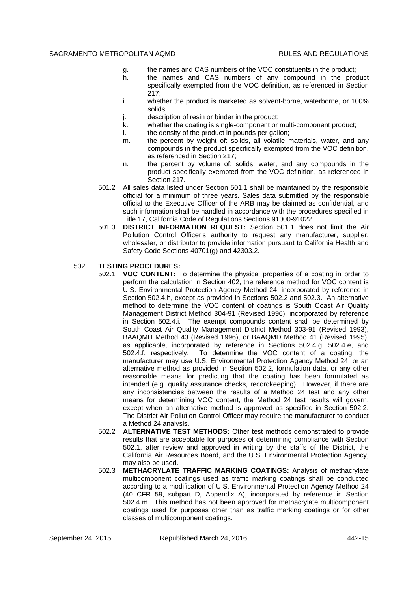- g. the names and CAS numbers of the VOC constituents in the product;
- h. the names and CAS numbers of any compound in the product specifically exempted from the VOC definition, as referenced in Section 217;
- i. whether the product is marketed as solvent-borne, waterborne, or 100% solids;
- j. description of resin or binder in the product;
- k. whether the coating is single-component or multi-component product;
- l. the density of the product in pounds per gallon;
- m. the percent by weight of: solids, all volatile materials, water, and any compounds in the product specifically exempted from the VOC definition, as referenced in Section 217;
- n. the percent by volume of: solids, water, and any compounds in the product specifically exempted from the VOC definition, as referenced in Section 217.
- 501.2 All sales data listed under Section 501.1 shall be maintained by the responsible official for a minimum of three years. Sales data submitted by the responsible official to the Executive Officer of the ARB may be claimed as confidential, and such information shall be handled in accordance with the procedures specified in Title 17, California Code of Regulations Sections 91000-91022.
- 501.3 **DISTRICT INFORMATION REQUEST:** Section 501.1 does not limit the Air Pollution Control Officer's authority to request any manufacturer, supplier, wholesaler, or distributor to provide information pursuant to California Health and Safety Code Sections 40701(g) and 42303.2.

## 502 **TESTING PROCEDURES:**

- 502.1 **VOC CONTENT:** To determine the physical properties of a coating in order to perform the calculation in Section 402, the reference method for VOC content is U.S. Environmental Protection Agency Method 24, incorporated by reference in Section 502.4.h, except as provided in Sections 502.2 and 502.3. An alternative method to determine the VOC content of coatings is South Coast Air Quality Management District Method 304-91 (Revised 1996), incorporated by reference in Section 502.4.i. The exempt compounds content shall be determined by South Coast Air Quality Management District Method 303-91 (Revised 1993), BAAQMD Method 43 (Revised 1996), or BAAQMD Method 41 (Revised 1995), as applicable, incorporated by reference in Sections 502.4.g, 502.4.e, and 502.4.f, respectively. To determine the VOC content of a coating, the manufacturer may use U.S. Environmental Protection Agency Method 24, or an alternative method as provided in Section 502.2, formulation data, or any other reasonable means for predicting that the coating has been formulated as intended (e.g. quality assurance checks, recordkeeping). However, if there are any inconsistencies between the results of a Method 24 test and any other means for determining VOC content, the Method 24 test results will govern, except when an alternative method is approved as specified in Section 502.2. The District Air Pollution Control Officer may require the manufacturer to conduct a Method 24 analysis.
- 502.2 **ALTERNATIVE TEST METHODS:** Other test methods demonstrated to provide results that are acceptable for purposes of determining compliance with Section 502.1, after review and approved in writing by the staffs of the District, the California Air Resources Board, and the U.S. Environmental Protection Agency, may also be used.
- 502.3 **METHACRYLATE TRAFFIC MARKING COATINGS:** Analysis of methacrylate multicomponent coatings used as traffic marking coatings shall be conducted according to a modification of U.S. Environmental Protection Agency Method 24 (40 CFR 59, subpart D, Appendix A), incorporated by reference in Section 502.4.m. This method has not been approved for methacrylate multicomponent coatings used for purposes other than as traffic marking coatings or for other classes of multicomponent coatings.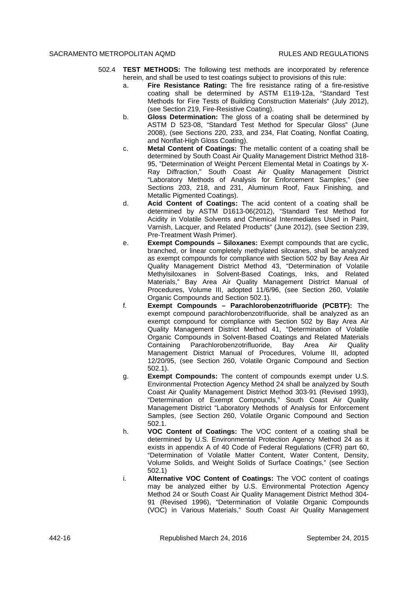- 502.4 **TEST METHODS:** The following test methods are incorporated by reference herein, and shall be used to test coatings subject to provisions of this rule:
	- a. **Fire Resistance Rating:** The fire resistance rating of a fire-resistive coating shall be determined by ASTM E119-12a, "Standard Test Methods for Fire Tests of Building Construction Materials" (July 2012), (see Section 219, Fire-Resistive Coating).
	- b. **Gloss Determination:** The gloss of a coating shall be determined by ASTM D 523-08, "Standard Test Method for Specular Gloss" (June 2008), (see Sections 220, 233, and 234, Flat Coating, Nonflat Coating, and Nonflat-High Gloss Coating).
	- c. **Metal Content of Coatings:** The metallic content of a coating shall be determined by South Coast Air Quality Management District Method 318- 95, "Determination of Weight Percent Elemental Metal in Coatings by X-Ray Diffraction," South Coast Air Quality Management District "Laboratory Methods of Analysis for Enforcement Samples," (see Sections 203, 218, and 231, Aluminum Roof, Faux Finishing, and Metallic Pigmented Coatings).
	- d. **Acid Content of Coatings:** The acid content of a coating shall be determined by ASTM D1613-06(2012), "Standard Test Method for Acidity in Volatile Solvents and Chemical Intermediates Used in Paint, Varnish, Lacquer, and Related Products" (June 2012), (see Section 239, Pre-Treatment Wash Primer).
	- e. **Exempt Compounds Siloxanes:** Exempt compounds that are cyclic, branched, or linear completely methylated siloxanes, shall be analyzed as exempt compounds for compliance with Section 502 by Bay Area Air Quality Management District Method 43, "Determination of Volatile Methylsiloxanes in Solvent-Based Coatings, Inks, and Related Materials," Bay Area Air Quality Management District Manual of Procedures, Volume III, adopted 11/6/96, (see Section 260, Volatile Organic Compounds and Section 502.1).
	- f. **Exempt Compounds Parachlorobenzotrifluoride (PCBTF):** The exempt compound parachlorobenzotrifluoride, shall be analyzed as an exempt compound for compliance with Section 502 by Bay Area Air Quality Management District Method 41, "Determination of Volatile Organic Compounds in Solvent-Based Coatings and Related Materials Containing Parachlorobenzotrifluoride, Bay Area Air Quality Management District Manual of Procedures, Volume III, adopted 12/20/95, (see Section 260, Volatile Organic Compound and Section 502.1).
	- g. **Exempt Compounds:** The content of compounds exempt under U.S. Environmental Protection Agency Method 24 shall be analyzed by South Coast Air Quality Management District Method 303-91 (Revised 1993), "Determination of Exempt Compounds," South Coast Air Quality Management District "Laboratory Methods of Analysis for Enforcement Samples, (see Section 260, Volatile Organic Compound and Section 502.1.
	- h. **VOC Content of Coatings:** The VOC content of a coating shall be determined by U.S. Environmental Protection Agency Method 24 as it exists in appendix A of 40 Code of Federal Regulations (CFR) part 60, "Determination of Volatile Matter Content, Water Content, Density, Volume Solids, and Weight Solids of Surface Coatings," (see Section 502.1)
	- i. **Alternative VOC Content of Coatings:** The VOC content of coatings may be analyzed either by U.S. Environmental Protection Agency Method 24 or South Coast Air Quality Management District Method 304- 91 (Revised 1996), "Determination of Volatile Organic Compounds (VOC) in Various Materials," South Coast Air Quality Management